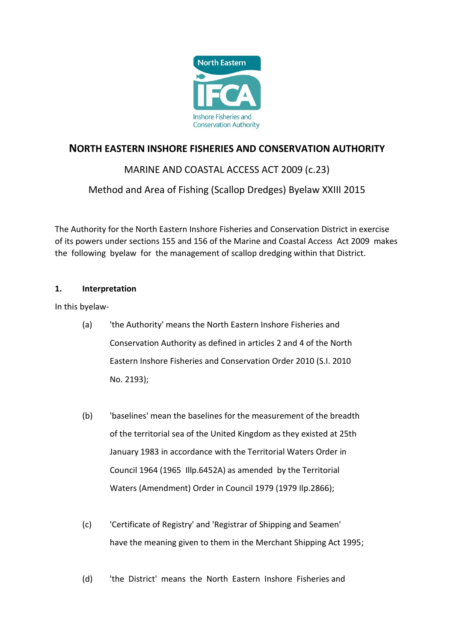

# **NORTH EASTERN INSHORE FISHERIES AND CONSERVATION AUTHORITY**

# MARINE AND COASTAL ACCESS ACT 2009 (c.23)

# Method and Area of Fishing (Scallop Dredges) Byelaw XXIII 2015

The Authority for the North Eastern Inshore Fisheries and Conservation District in exercise of its powers under sections 155 and 156 of the Marine and Coastal Access Act 2009 makes the following byelaw for the management of scallop dredging within that District.

## **1. Interpretation**

In this byelaw-

- (a) 'the Authority' means the North Eastern Inshore Fisheries and Conservation Authority as defined in articles 2 and 4 of the North Eastern Inshore Fisheries and Conservation Order 2010 (S.I. 2010 No. 2193);
- (b) 'baselines' mean the baselines for the measurement of the breadth of the territorial sea of the United Kingdom as they existed at 25th January 1983 in accordance with the Territorial Waters Order in Council 1964 (1965 Illp.6452A) as amended by the Territorial Waters (Amendment) Order in Council 1979 (1979 Ilp.2866);
- (c) 'Certificate of Registry' and 'Registrar of Shipping and Seamen' have the meaning given to them in the Merchant Shipping Act 1995;
- (d) 'the District' means the North Eastern Inshore Fisheries and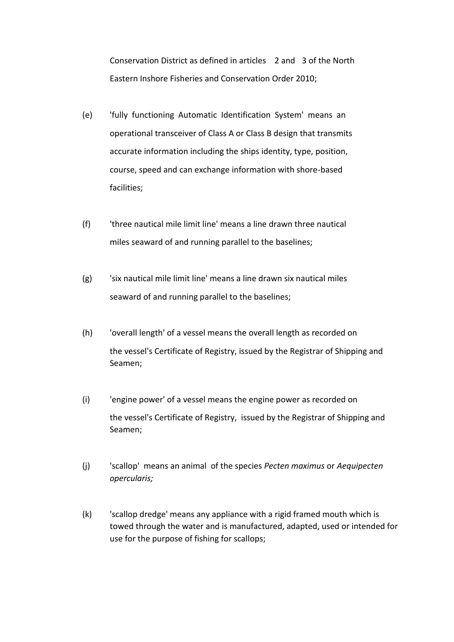Conservation District as defined in articles 2 and 3 of the North Eastern Inshore Fisheries and Conservation Order 2010;

- (e) 'fully functioning Automatic Identification System' means an operational transceiver of Class A or Class B design that transmits accurate information including the ships identity, type, position, course, speed and can exchange information with shore-based facilities;
- (f) 'three nautical mile limit line' means a line drawn three nautical miles seaward of and running parallel to the baselines;
- (g) 'six nautical mile limit line' means a line drawn six nautical miles seaward of and running parallel to the baselines;
- (h) 'overall length' of a vessel means the overall length as recorded on the vessel's Certificate of Registry, issued by the Registrar of Shipping and Seamen;
- (i) 'engine power' of a vessel means the engine power as recorded on the vessel's Certificate of Registry, issued by the Registrar of Shipping and Seamen;
- (j) 'scallop' means an animal of the species *Pecten maximus* or *Aequipecten opercularis;*
- (k) 'scallop dredge' means any appliance with a rigid framed mouth which is towed through the water and is manufactured, adapted, used or intended for use for the purpose of fishing for scallops;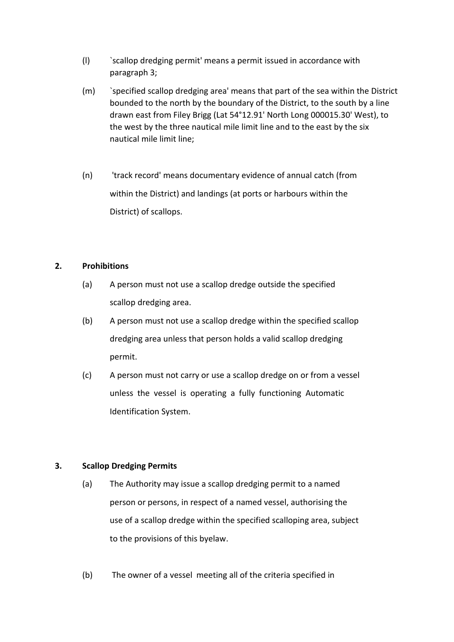- (l) `scallop dredging permit' means a permit issued in accordance with paragraph 3;
- (m) `specified scallop dredging area' means that part of the sea within the District bounded to the north by the boundary of the District, to the south by a line drawn east from Filey Brigg (Lat 54°12.91' North Long 000015.30' West), to the west by the three nautical mile limit line and to the east by the six nautical mile limit line;
- (n) 'track record' means documentary evidence of annual catch (from within the District) and landings (at ports or harbours within the District) of scallops.

#### **2. Prohibitions**

- (a) A person must not use a scallop dredge outside the specified scallop dredging area.
- (b) A person must not use a scallop dredge within the specified scallop dredging area unless that person holds a valid scallop dredging permit.
- (c) A person must not carry or use a scallop dredge on or from a vessel unless the vessel is operating a fully functioning Automatic Identification System.

## **3. Scallop Dredging Permits**

- (a) The Authority may issue a scallop dredging permit to a named person or persons, in respect of a named vessel, authorising the use of a scallop dredge within the specified scalloping area, subject to the provisions of this byelaw.
- (b) The owner of a vessel meeting all of the criteria specified in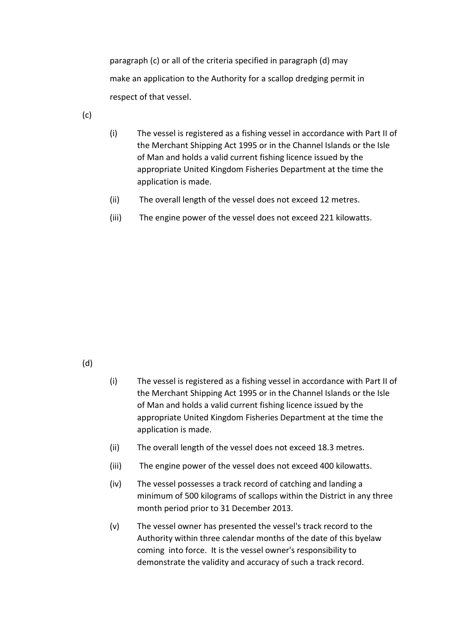paragraph (c) or all of the criteria specified in paragraph (d) may make an application to the Authority for a scallop dredging permit in respect of that vessel.

(c)

- (i) The vessel is registered as a fishing vessel in accordance with Part II of the Merchant Shipping Act 1995 or in the Channel Islands or the Isle of Man and holds a valid current fishing licence issued by the appropriate United Kingdom Fisheries Department at the time the application is made.
- (ii) The overall length of the vessel does not exceed 12 metres.
- (iii) The engine power of the vessel does not exceed 221 kilowatts.

## (d)

- (i) The vessel is registered as a fishing vessel in accordance with Part II of the Merchant Shipping Act 1995 or in the Channel Islands or the Isle of Man and holds a valid current fishing licence issued by the appropriate United Kingdom Fisheries Department at the time the application is made.
- (ii) The overall length of the vessel does not exceed 18.3 metres.
- (iii) The engine power of the vessel does not exceed 400 kilowatts.
- (iv) The vessel possesses a track record of catching and landing a minimum of 500 kilograms of scallops within the District in any three month period prior to 31 December 2013.
- (v) The vessel owner has presented the vessel's track record to the Authority within three calendar months of the date of this byelaw coming into force. It is the vessel owner's responsibility to demonstrate the validity and accuracy of such a track record.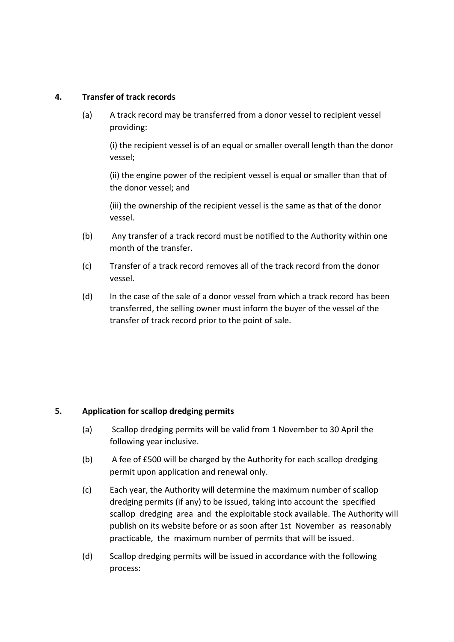### **4. Transfer of track records**

(a) A track record may be transferred from a donor vessel to recipient vessel providing:

(i) the recipient vessel is of an equal or smaller overall length than the donor vessel;

(ii) the engine power of the recipient vessel is equal or smaller than that of the donor vessel; and

(iii) the ownership of the recipient vessel is the same as that of the donor vessel.

- (b) Any transfer of a track record must be notified to the Authority within one month of the transfer.
- (c) Transfer of a track record removes all of the track record from the donor vessel.
- (d) In the case of the sale of a donor vessel from which a track record has been transferred, the selling owner must inform the buyer of the vessel of the transfer of track record prior to the point of sale.

## **5. Application for scallop dredging permits**

- (a) Scallop dredging permits will be valid from 1 November to 30 April the following year inclusive.
- (b) A fee of £500 will be charged by the Authority for each scallop dredging permit upon application and renewal only.
- (c) Each year, the Authority will determine the maximum number of scallop dredging permits (if any) to be issued, taking into account the specified scallop dredging area and the exploitable stock available. The Authority will publish on its website before or as soon after 1st November as reasonably practicable, the maximum number of permits that will be issued.
- (d) Scallop dredging permits will be issued in accordance with the following process: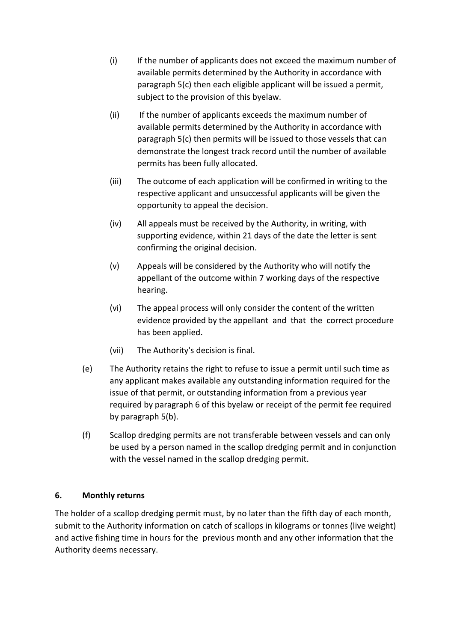- (i) If the number of applicants does not exceed the maximum number of available permits determined by the Authority in accordance with paragraph 5(c) then each eligible applicant will be issued a permit, subject to the provision of this byelaw.
- (ii) If the number of applicants exceeds the maximum number of available permits determined by the Authority in accordance with paragraph 5(c) then permits will be issued to those vessels that can demonstrate the longest track record until the number of available permits has been fully allocated.
- (iii) The outcome of each application will be confirmed in writing to the respective applicant and unsuccessful applicants will be given the opportunity to appeal the decision.
- (iv) All appeals must be received by the Authority, in writing, with supporting evidence, within 21 days of the date the letter is sent confirming the original decision.
- (v) Appeals will be considered by the Authority who will notify the appellant of the outcome within 7 working days of the respective hearing.
- (vi) The appeal process will only consider the content of the written evidence provided by the appellant and that the correct procedure has been applied.
- (vii) The Authority's decision is final.
- (e) The Authority retains the right to refuse to issue a permit until such time as any applicant makes available any outstanding information required for the issue of that permit, or outstanding information from a previous year required by paragraph 6 of this byelaw or receipt of the permit fee required by paragraph 5(b).
- (f) Scallop dredging permits are not transferable between vessels and can only be used by a person named in the scallop dredging permit and in conjunction with the vessel named in the scallop dredging permit.

# **6. Monthly returns**

The holder of a scallop dredging permit must, by no later than the fifth day of each month, submit to the Authority information on catch of scallops in kilograms or tonnes (live weight) and active fishing time in hours for the previous month and any other information that the Authority deems necessary.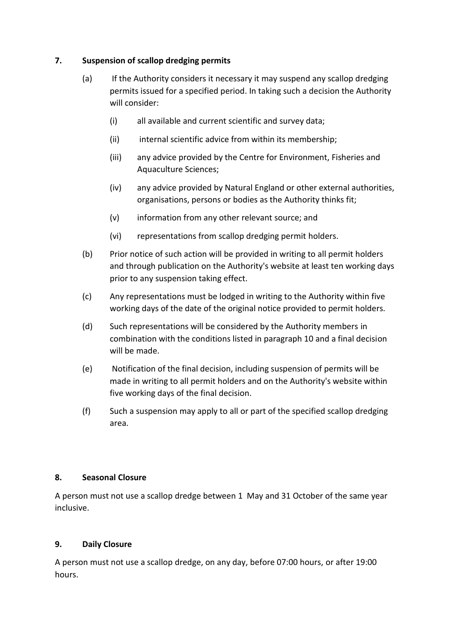## **7. Suspension of scallop dredging permits**

- (a) If the Authority considers it necessary it may suspend any scallop dredging permits issued for a specified period. In taking such a decision the Authority will consider:
	- (i) all available and current scientific and survey data;
	- (ii) internal scientific advice from within its membership;
	- (iii) any advice provided by the Centre for Environment, Fisheries and Aquaculture Sciences;
	- (iv) any advice provided by Natural England or other external authorities, organisations, persons or bodies as the Authority thinks fit;
	- (v) information from any other relevant source; and
	- (vi) representations from scallop dredging permit holders.
- (b) Prior notice of such action will be provided in writing to all permit holders and through publication on the Authority's website at least ten working days prior to any suspension taking effect.
- (c) Any representations must be lodged in writing to the Authority within five working days of the date of the original notice provided to permit holders.
- (d) Such representations will be considered by the Authority members in combination with the conditions listed in paragraph 10 and a final decision will be made.
- (e) Notification of the final decision, including suspension of permits will be made in writing to all permit holders and on the Authority's website within five working days of the final decision.
- (f) Such a suspension may apply to all or part of the specified scallop dredging area.

## **8. Seasonal Closure**

A person must not use a scallop dredge between 1 May and 31 October of the same year inclusive.

## **9. Daily Closure**

A person must not use a scallop dredge, on any day, before 07:00 hours, or after 19:00 hours.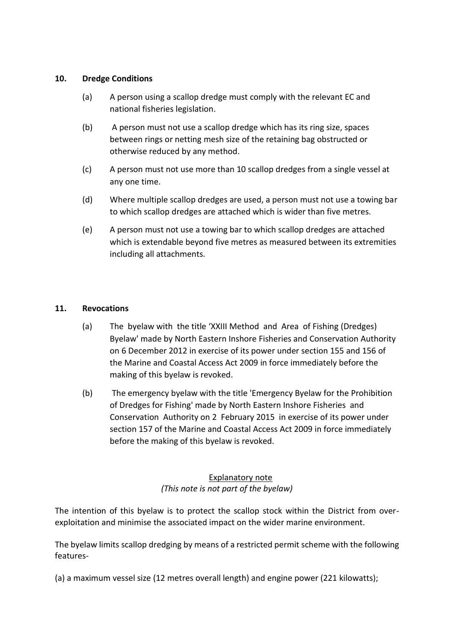### **10. Dredge Conditions**

- (a) A person using a scallop dredge must comply with the relevant EC and national fisheries legislation.
- (b) A person must not use a scallop dredge which has its ring size, spaces between rings or netting mesh size of the retaining bag obstructed or otherwise reduced by any method.
- (c) A person must not use more than 10 scallop dredges from a single vessel at any one time.
- (d) Where multiple scallop dredges are used, a person must not use a towing bar to which scallop dredges are attached which is wider than five metres.
- (e) A person must not use a towing bar to which scallop dredges are attached which is extendable beyond five metres as measured between its extremities including all attachments.

## **11. Revocations**

- (a) The byelaw with the title 'XXIII Method and Area of Fishing (Dredges) Byelaw' made by North Eastern Inshore Fisheries and Conservation Authority on 6 December 2012 in exercise of its power under section 155 and 156 of the Marine and Coastal Access Act 2009 in force immediately before the making of this byelaw is revoked.
- (b) The emergency byelaw with the title 'Emergency Byelaw for the Prohibition of Dredges for Fishing' made by North Eastern Inshore Fisheries and Conservation Authority on 2 February 2015 in exercise of its power under section 157 of the Marine and Coastal Access Act 2009 in force immediately before the making of this byelaw is revoked.

# Explanatory note *(This note is not part of the byelaw)*

The intention of this byelaw is to protect the scallop stock within the District from overexploitation and minimise the associated impact on the wider marine environment.

The byelaw limits scallop dredging by means of a restricted permit scheme with the following features-

(a) a maximum vessel size (12 metres overall length) and engine power (221 kilowatts);